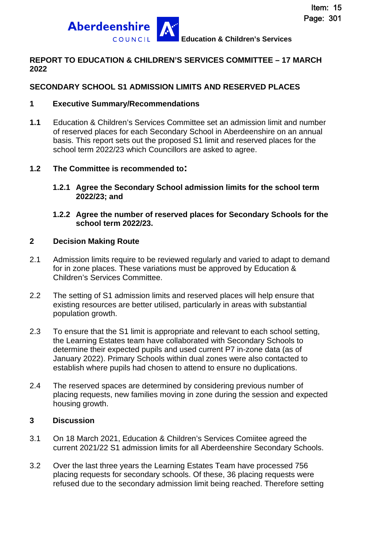

### **REPORT TO EDUCATION & CHILDREN'S SERVICES COMMITTEE – 17 MARCH 2022**

## **SECONDARY SCHOOL S1 ADMISSION LIMITS AND RESERVED PLACES**

### **1 Executive Summary/Recommendations**

**1.1** Education & Children's Services Committee set an admission limit and number of reserved places for each Secondary School in Aberdeenshire on an annual basis. This report sets out the proposed S1 limit and reserved places for the school term 2022/23 which Councillors are asked to agree.

## **1.2 The Committee is recommended to:**

- **1.2.1 Agree the Secondary School admission limits for the school term 2022/23; and**
- **1.2.2 Agree the number of reserved places for Secondary Schools for the school term 2022/23.**

### **2 Decision Making Route**

- 2.1 Admission limits require to be reviewed regularly and varied to adapt to demand for in zone places. These variations must be approved by Education & Children's Services Committee.
- 2.2 The setting of S1 admission limits and reserved places will help ensure that existing resources are better utilised, particularly in areas with substantial population growth.
- 2.3 To ensure that the S1 limit is appropriate and relevant to each school setting, the Learning Estates team have collaborated with Secondary Schools to determine their expected pupils and used current P7 in-zone data (as of January 2022). Primary Schools within dual zones were also contacted to establish where pupils had chosen to attend to ensure no duplications.
- 2.4 The reserved spaces are determined by considering previous number of placing requests, new families moving in zone during the session and expected housing growth.

### **3 Discussion**

- 3.1 On 18 March 2021, Education & Children's Services Comiitee agreed the current 2021/22 S1 admission limits for all Aberdeenshire Secondary Schools.
- 3.2 Over the last three years the Learning Estates Team have processed 756 placing requests for secondary schools. Of these, 36 placing requests were refused due to the secondary admission limit being reached. Therefore setting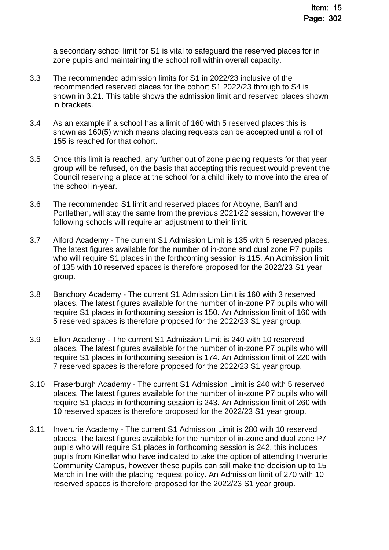a secondary school limit for S1 is vital to safeguard the reserved places for in zone pupils and maintaining the school roll within overall capacity.

- 3.3 The recommended admission limits for S1 in 2022/23 inclusive of the recommended reserved places for the cohort S1 2022/23 through to S4 is shown in 3.21. This table shows the admission limit and reserved places shown in brackets.
- 3.4 As an example if a school has a limit of 160 with 5 reserved places this is shown as 160(5) which means placing requests can be accepted until a roll of 155 is reached for that cohort.
- 3.5 Once this limit is reached, any further out of zone placing requests for that year group will be refused, on the basis that accepting this request would prevent the Council reserving a place at the school for a child likely to move into the area of the school in-year.
- 3.6 The recommended S1 limit and reserved places for Aboyne, Banff and Portlethen, will stay the same from the previous 2021/22 session, however the following schools will require an adjustment to their limit.
- 3.7 Alford Academy The current S1 Admission Limit is 135 with 5 reserved places. The latest figures available for the number of in-zone and dual zone P7 pupils who will require S1 places in the forthcoming session is 115. An Admission limit of 135 with 10 reserved spaces is therefore proposed for the 2022/23 S1 year group.
- 3.8 Banchory Academy The current S1 Admission Limit is 160 with 3 reserved places. The latest figures available for the number of in-zone P7 pupils who will require S1 places in forthcoming session is 150. An Admission limit of 160 with 5 reserved spaces is therefore proposed for the 2022/23 S1 year group.
- 3.9 Ellon Academy The current S1 Admission Limit is 240 with 10 reserved places. The latest figures available for the number of in-zone P7 pupils who will require S1 places in forthcoming session is 174. An Admission limit of 220 with 7 reserved spaces is therefore proposed for the 2022/23 S1 year group.
- 3.10 Fraserburgh Academy The current S1 Admission Limit is 240 with 5 reserved places. The latest figures available for the number of in-zone P7 pupils who will require S1 places in forthcoming session is 243. An Admission limit of 260 with 10 reserved spaces is therefore proposed for the 2022/23 S1 year group.
- 3.11 Inverurie Academy The current S1 Admission Limit is 280 with 10 reserved places. The latest figures available for the number of in-zone and dual zone P7 pupils who will require S1 places in forthcoming session is 242, this includes pupils from Kinellar who have indicated to take the option of attending Inverurie Community Campus, however these pupils can still make the decision up to 15 March in line with the placing request policy. An Admission limit of 270 with 10 reserved spaces is therefore proposed for the 2022/23 S1 year group.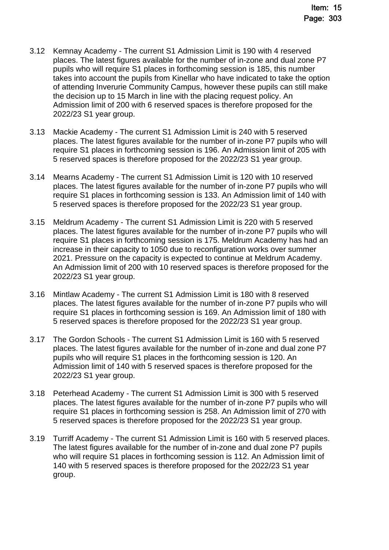- 3.12 Kemnay Academy The current S1 Admission Limit is 190 with 4 reserved places. The latest figures available for the number of in-zone and dual zone P7 pupils who will require S1 places in forthcoming session is 185, this number takes into account the pupils from Kinellar who have indicated to take the option of attending Inverurie Community Campus, however these pupils can still make the decision up to 15 March in line with the placing request policy. An Admission limit of 200 with 6 reserved spaces is therefore proposed for the 2022/23 S1 year group.
- 3.13 Mackie Academy The current S1 Admission Limit is 240 with 5 reserved places. The latest figures available for the number of in-zone P7 pupils who will require S1 places in forthcoming session is 196. An Admission limit of 205 with 5 reserved spaces is therefore proposed for the 2022/23 S1 year group.
- 3.14 Mearns Academy The current S1 Admission Limit is 120 with 10 reserved places. The latest figures available for the number of in-zone P7 pupils who will require S1 places in forthcoming session is 133. An Admission limit of 140 with 5 reserved spaces is therefore proposed for the 2022/23 S1 year group.
- 3.15 Meldrum Academy The current S1 Admission Limit is 220 with 5 reserved places. The latest figures available for the number of in-zone P7 pupils who will require S1 places in forthcoming session is 175. Meldrum Academy has had an increase in their capacity to 1050 due to reconfiguration works over summer 2021. Pressure on the capacity is expected to continue at Meldrum Academy. An Admission limit of 200 with 10 reserved spaces is therefore proposed for the 2022/23 S1 year group.
- 3.16 Mintlaw Academy The current S1 Admission Limit is 180 with 8 reserved places. The latest figures available for the number of in-zone P7 pupils who will require S1 places in forthcoming session is 169. An Admission limit of 180 with 5 reserved spaces is therefore proposed for the 2022/23 S1 year group.
- 3.17 The Gordon Schools The current S1 Admission Limit is 160 with 5 reserved places. The latest figures available for the number of in-zone and dual zone P7 pupils who will require S1 places in the forthcoming session is 120. An Admission limit of 140 with 5 reserved spaces is therefore proposed for the 2022/23 S1 year group.
- 3.18 Peterhead Academy The current S1 Admission Limit is 300 with 5 reserved places. The latest figures available for the number of in-zone P7 pupils who will require S1 places in forthcoming session is 258. An Admission limit of 270 with 5 reserved spaces is therefore proposed for the 2022/23 S1 year group.
- 3.19 Turriff Academy The current S1 Admission Limit is 160 with 5 reserved places. The latest figures available for the number of in-zone and dual zone P7 pupils who will require S1 places in forthcoming session is 112. An Admission limit of 140 with 5 reserved spaces is therefore proposed for the 2022/23 S1 year group.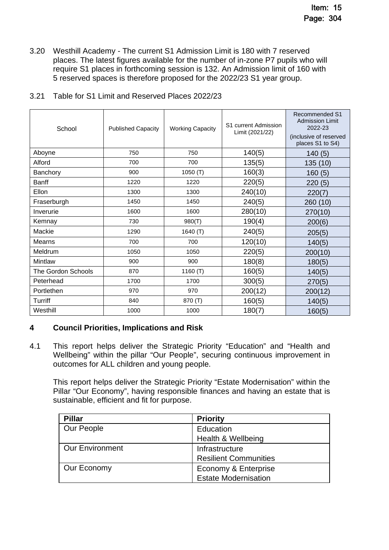3.20 Westhill Academy - The current S1 Admission Limit is 180 with 7 reserved places. The latest figures available for the number of in-zone P7 pupils who will require S1 places in forthcoming session is 132. An Admission limit of 160 with 5 reserved spaces is therefore proposed for the 2022/23 S1 year group.

| School             | <b>Published Capacity</b> | <b>Working Capacity</b> | S1 current Admission<br>Limit (2021/22) | Recommended S1<br><b>Admission Limit</b><br>2022-23<br>(inclusive of reserved<br>places S1 to S4) |
|--------------------|---------------------------|-------------------------|-----------------------------------------|---------------------------------------------------------------------------------------------------|
| Aboyne             | 750                       | 750                     | 140(5)                                  | 140(5)                                                                                            |
| Alford             | 700                       | 700                     | 135(5)                                  | 135 (10)                                                                                          |
| Banchory           | 900                       | 1050(T)                 | 160(3)                                  | 160(5)                                                                                            |
| <b>Banff</b>       | 1220                      | 1220                    | 220(5)                                  | 220(5)                                                                                            |
| Ellon              | 1300                      | 1300                    | 240(10)                                 | 220(7)                                                                                            |
| Fraserburgh        | 1450                      | 1450                    | 240(5)                                  | 260 (10)                                                                                          |
| Inverurie          | 1600                      | 1600                    | 280(10)                                 | 270(10)                                                                                           |
| Kemnay             | 730                       | 980(T)                  | 190(4)                                  | 200(6)                                                                                            |
| Mackie             | 1290                      | 1640 (T)                | 240(5)                                  | 205(5)                                                                                            |
| Mearns             | 700                       | 700                     | 120(10)                                 | 140(5)                                                                                            |
| Meldrum            | 1050                      | 1050                    | 220(5)                                  | 200(10)                                                                                           |
| Mintlaw            | 900                       | 900                     | 180(8)                                  | 180(5)                                                                                            |
| The Gordon Schools | 870                       | 1160 $(T)$              | 160(5)                                  | 140(5)                                                                                            |
| Peterhead          | 1700                      | 1700                    | 300(5)                                  | 270(5)                                                                                            |
| Portlethen         | 970                       | 970                     | 200(12)                                 | 200(12)                                                                                           |
| Turriff            | 840                       | 870 (T)                 | 160(5)                                  | 140(5)                                                                                            |
| Westhill           | 1000                      | 1000                    | 180(7)                                  | 160(5)                                                                                            |

# 3.21 Table for S1 Limit and Reserved Places 2022/23

# **4 Council Priorities, Implications and Risk**

4.1 This report helps deliver the Strategic Priority "Education" and "Health and Wellbeing" within the pillar "Our People", securing continuous improvement in outcomes for ALL children and young people.

This report helps deliver the Strategic Priority "Estate Modernisation" within the Pillar "Our Economy", having responsible finances and having an estate that is sustainable, efficient and fit for purpose.

| <b>Pillar</b>          | <b>Priority</b>              |  |
|------------------------|------------------------------|--|
| Our People             | Education                    |  |
|                        | Health & Wellbeing           |  |
| <b>Our Environment</b> | Infrastructure               |  |
|                        | <b>Resilient Communities</b> |  |
| Our Economy            | Economy & Enterprise         |  |
|                        | <b>Estate Modernisation</b>  |  |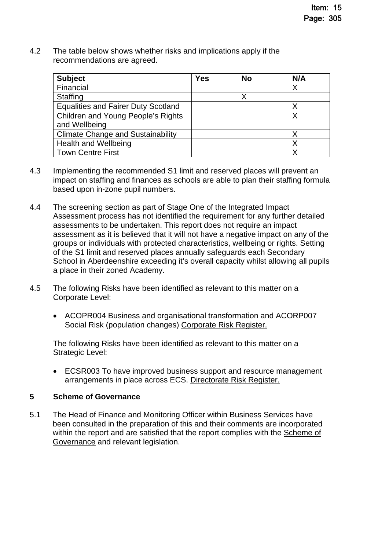4.2 The table below shows whether risks and implications apply if the recommendations are agreed.

| <b>Subject</b>                             | <b>Yes</b> | <b>No</b> | N/A |
|--------------------------------------------|------------|-----------|-----|
| Financial                                  |            |           | Χ   |
| <b>Staffing</b>                            |            | Х         |     |
| <b>Equalities and Fairer Duty Scotland</b> |            |           | Χ   |
| Children and Young People's Rights         |            |           |     |
| and Wellbeing                              |            |           |     |
| <b>Climate Change and Sustainability</b>   |            |           |     |
| <b>Health and Wellbeing</b>                |            |           |     |
| <b>Town Centre First</b>                   |            |           |     |

- 4.3 Implementing the recommended S1 limit and reserved places will prevent an impact on staffing and finances as schools are able to plan their staffing formula based upon in-zone pupil numbers.
- 4.4 The screening section as part of Stage One of the Integrated Impact Assessment process has not identified the requirement for any further detailed assessments to be undertaken. This report does not require an impact assessment as it is believed that it will not have a negative impact on any of the groups or individuals with protected characteristics, wellbeing or rights. Setting of the S1 limit and reserved places annually safeguards each Secondary School in Aberdeenshire exceeding it's overall capacity whilst allowing all pupils a place in their zoned Academy.
- 4.5 The following Risks have been identified as relevant to this matter on a Corporate Level:
	- ACOPR004 Business and organisational transformation and ACORP007 Social Risk (population changes) [Corporate Risk Register.](https://www.aberdeenshire.gov.uk/media/26308/corporaterisks.pdf)

The following Risks have been identified as relevant to this matter on a Strategic Level:

 ECSR003 To have improved business support and resource management arrangements in place across ECS. [Directorate Risk Register.](https://www.aberdeenshire.gov.uk/media/26330/ecsdirectoraterisksregister.pdf)

# **5 Scheme of Governance**

5.1 The Head of Finance and Monitoring Officer within Business Services have been consulted in the preparation of this and their comments are incorporated within the report and are satisfied that the report complies with the [Scheme of](https://www.aberdeenshire.gov.uk/council-and-democracy/scheme-of-governance/)  [Governance and relevant legislation.](https://www.aberdeenshire.gov.uk/council-and-democracy/scheme-of-governance/)